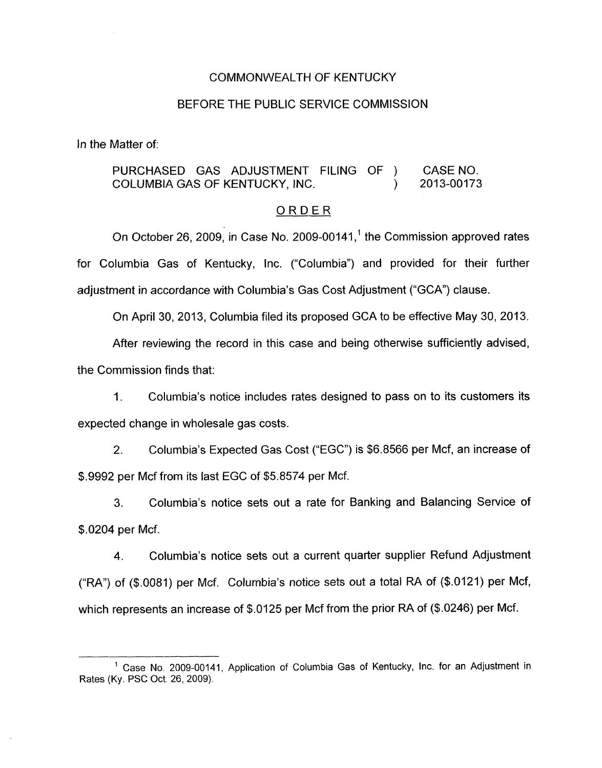#### COMMONWEALTH OF KENTUCKY

### BEFORE THE PUBLIC SERVICE COMMISSION

In the Matter of:

## PURCHASED GAS ADJUSTMENT FILING OF ) CASENO. COLUMBIA GAS OF KENTUCKY, INC. (2013-00173

#### ORDER

On October 26, 2009, in Case No. 2009-00141,<sup>1</sup> the Commission approved rates for Columbia Gas of Kentucky, Inc. ("Columbia") and provided for their further adjustment in accordance with Columbia's Gas Cost Adjustment ("GCA') clause.

On April 30, 2013, Columbia filed its proposed GCA to be effective May 30, 2013.

After reviewing the record in this case and being otherwise sufficiently advised, the Commission finds that:

1. Columbia's notice includes rates designed to pass on to its customers its expected change in wholesale gas costs.

2. Columbia's Expected Gas Cost ("EGC") is \$6.8566 per Mcf, an increase of \$.9992 per Mcf from its last EGC of \$5.8574 per Mcf.

3. Columbia's notice sets out a rate for Banking and Balancing Service of \$.0204 per Mcf.

4. Columbia's notice sets out a current quarter supplier Refund Adjustment ("RA") of (\$.0081) per Mcf. Columbia's notice sets out a total RA of (\$.0121) per Mcf, which represents an increase of \$.0125 per Mcf from the prior RA of (\$.0246) per Mcf.

<sup>&</sup>lt;sup>1</sup> Case No. 2009-00141, Application of Columbia Gas of Kentucky, Inc. for an Adjustment in Rates (Ky. PSC Oct. 26, 2009).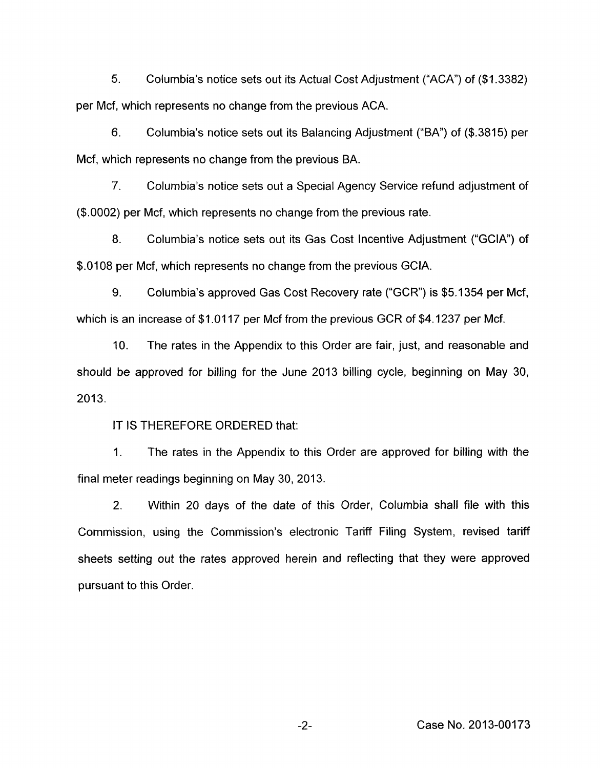5. Columbia's notice sets out its Actual Cost Adjustment ("ACA") of (\$1.3382) per Mcf, which represents no change from the previous ACA.

*6.* Columbia's notice sets out its Balancing Adjustment ("BA") of (\$.3815) per Mcf, which represents no change from the previous BA.

7. Columbia's notice sets out a Special Agency Service refund adjustment of (\$.0002) per Mcf, which represents no change from the previous rate.

8. Columbia's notice sets out its Gas Cost Incentive Adjustment ("GCIA") of \$.0108 per Mcf, which represents no change from the previous GCIA.

9. Columbia's approved Gas Cost Recovery rate ("GCR") is \$5.1354 per Mcf, which is an increase of \$1.0117 per Mcf from the previous GCR of \$4.1237 per Mcf.

IO. The rates in the Appendix to this Order are fair, just, and reasonable and should be approved for billing for the June 2013 billing cycle, beginning on May 30,  $2013.$ 

IT IS THEREFORE ORDERED that:

1. The rates in the Appendix to this Order are approved for billing with the final meter readings beginning on May **30,** 2013.

2. Within 20 days of the date of this Order, Columbia shall file with this Commission, using the Commission's electronic Tariff Filing System, revised tariff sheets setting out the rates approved herein and reflecting that they were approved pursuant to this Order.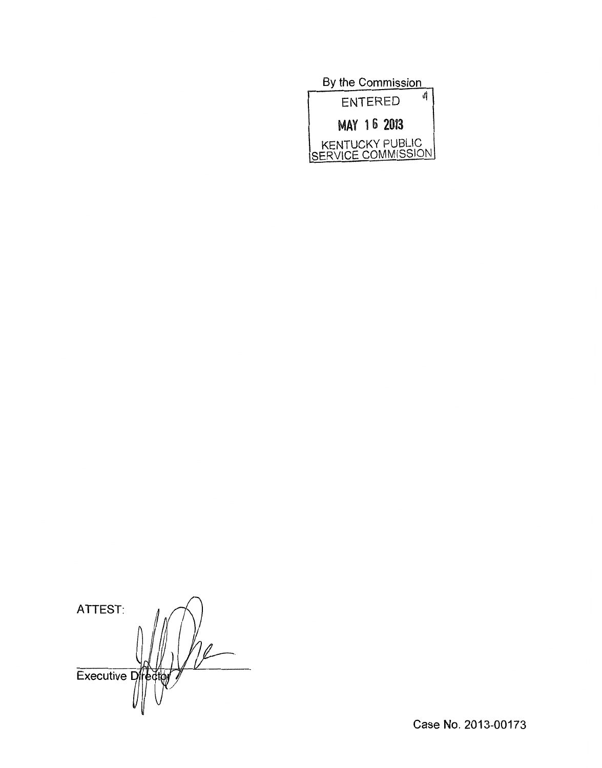| By the Commission                     |
|---------------------------------------|
| A<br><b>ENTERED</b>                   |
| MAY 16 2013                           |
| KENTUCKY PUBLIC<br>SERVICE COMMISSION |

ATTEST: Executive Director  $\frac{1}{2}$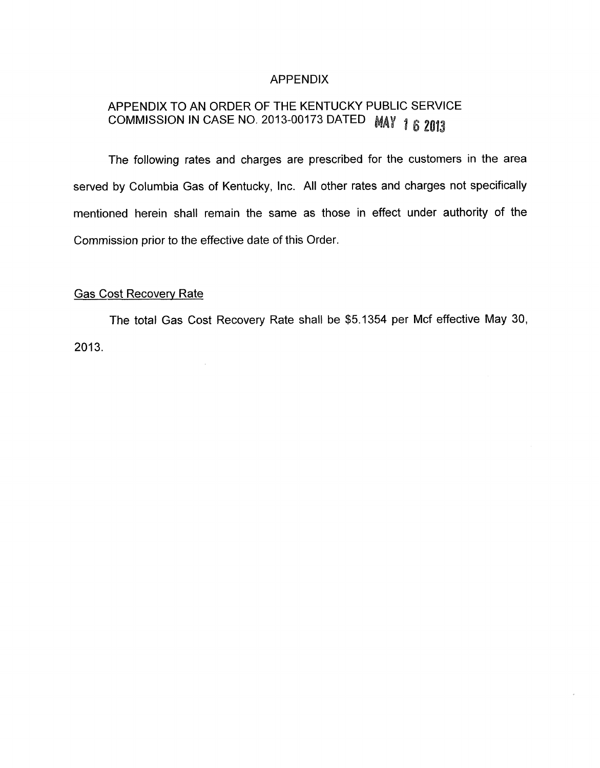## APPENDIX

# APPENDIX TO AN ORDER OF THE KENTUCKY PUBLIC SERVICE COMMISSION IN CASE NO. 2013-00173 DATED MAY 1 6 2013

The following rates and charges are prescribed for the customers in the area served by Columbia Gas of Kentucky, Inc. All other rates and charges not specifically mentioned herein shall remain the same as those in effect under authority of the Commission prior to the effective date of this Order.

# Gas Cost Recovery Rate

 $\hat{\mathcal{A}}$ 

The total Gas Cost Recovery Rate shall be \$5.1354 per Mcf effective May 30,  $2013.$